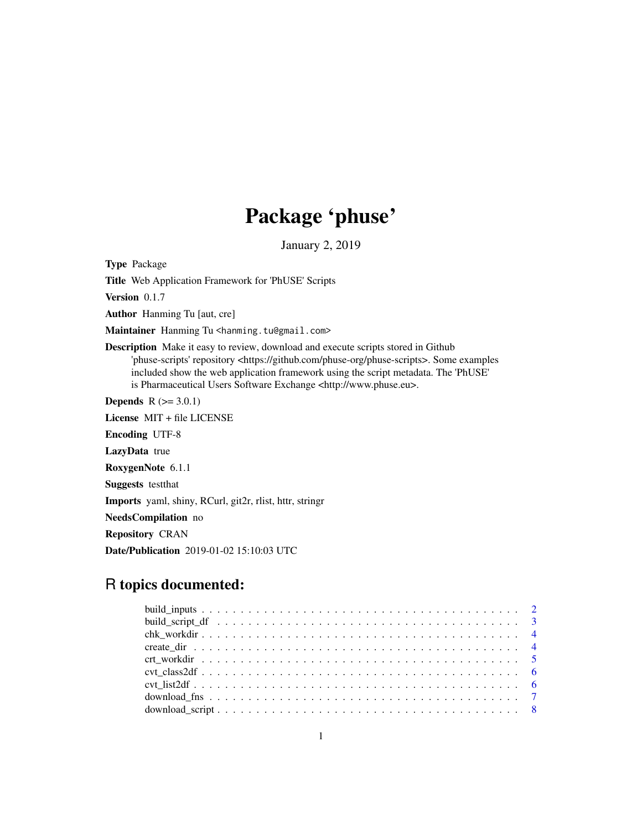# Package 'phuse'

January 2, 2019

Type Package

Title Web Application Framework for 'PhUSE' Scripts

Version 0.1.7

Author Hanming Tu [aut, cre]

Maintainer Hanming Tu <hanming.tu@gmail.com>

Description Make it easy to review, download and execute scripts stored in Github 'phuse-scripts' repository <https://github.com/phuse-org/phuse-scripts>. Some examples included show the web application framework using the script metadata. The 'PhUSE' is Pharmaceutical Users Software Exchange <http://www.phuse.eu>.

**Depends**  $R (= 3.0.1)$ 

License MIT + file LICENSE

Encoding UTF-8

LazyData true

RoxygenNote 6.1.1

Suggests testthat

Imports yaml, shiny, RCurl, git2r, rlist, httr, stringr

NeedsCompilation no

Repository CRAN

Date/Publication 2019-01-02 15:10:03 UTC

# R topics documented: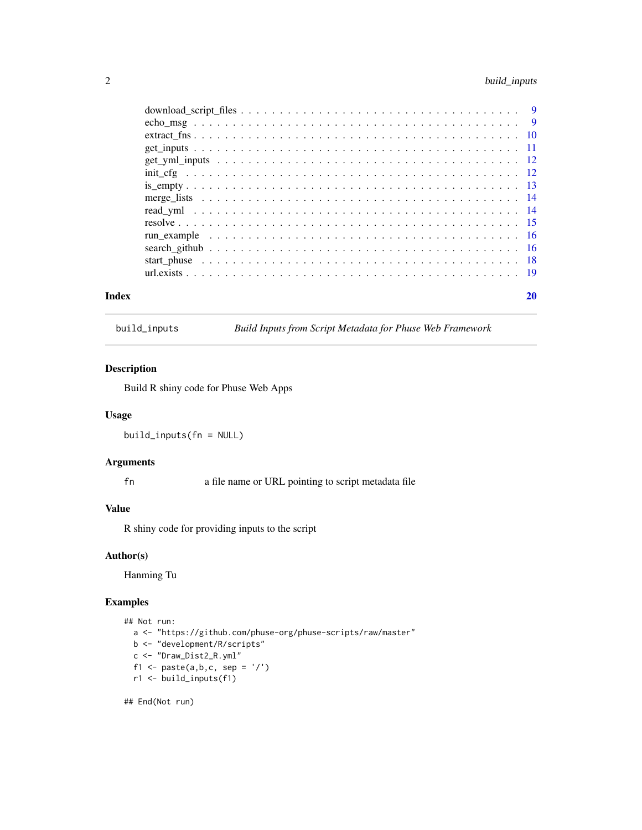# <span id="page-1-0"></span>2 build\_inputs

| Index | 20 |
|-------|----|
|       |    |
|       |    |
|       |    |
|       |    |
|       |    |
|       |    |
|       |    |
|       |    |
|       |    |
|       |    |
|       |    |
|       |    |
|       |    |
|       |    |

build\_inputs *Build Inputs from Script Metadata for Phuse Web Framework*

# Description

Build R shiny code for Phuse Web Apps

#### Usage

build\_inputs(fn = NULL)

# Arguments

fn a file name or URL pointing to script metadata file

#### Value

R shiny code for providing inputs to the script

#### Author(s)

Hanming Tu

#### Examples

```
## Not run:
  a <- "https://github.com/phuse-org/phuse-scripts/raw/master"
  b <- "development/R/scripts"
  c <- "Draw_Dist2_R.yml"
  f1 <- paste(a, b, c, sep = '/')
  r1 <- build_inputs(f1)
```
## End(Not run)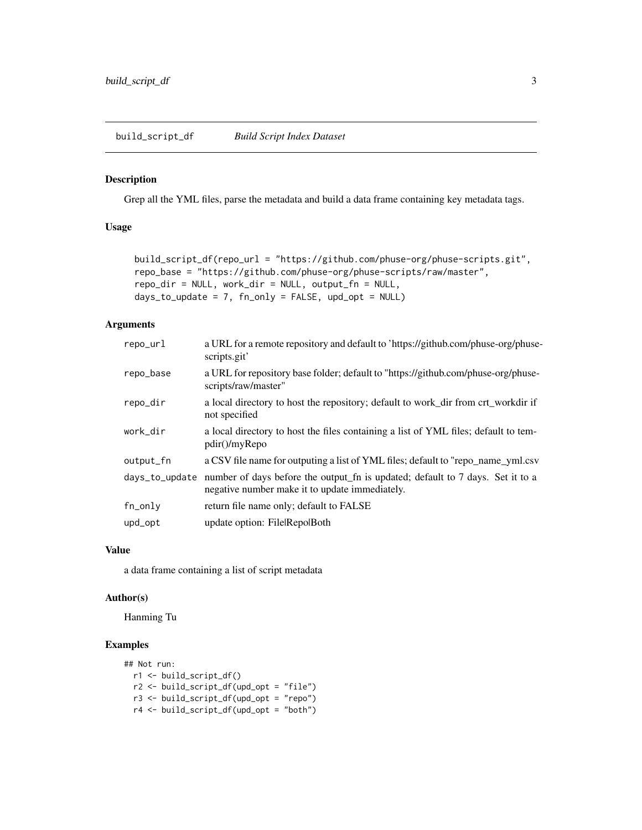<span id="page-2-0"></span>build\_script\_df *Build Script Index Dataset*

#### Description

Grep all the YML files, parse the metadata and build a data frame containing key metadata tags.

#### Usage

```
build_script_df(repo_url = "https://github.com/phuse-org/phuse-scripts.git",
repo_base = "https://github.com/phuse-org/phuse-scripts/raw/master",
repo_dir = NULL, work_dir = NULL, output_fn = NULL,
days_to_update = 7, fn_only = FALSE, upd_opt = NULL)
```
#### Arguments

| repo_url       | a URL for a remote repository and default to 'https://github.com/phuse-org/phuse-<br>scripts.git'                                |
|----------------|----------------------------------------------------------------------------------------------------------------------------------|
| repo_base      | a URL for repository base folder; default to "https://github.com/phuse-org/phuse-<br>scripts/raw/master"                         |
| repo_dir       | a local directory to host the repository; default to work_dir from crt_workdir if<br>not specified                               |
| work dir       | a local directory to host the files containing a list of YML files; default to tem-<br>pdir()/myRepo                             |
| output_fn      | a CSV file name for outputing a list of YML files; default to "repo_name_yml.csv                                                 |
| days_to_update | number of days before the output_fn is updated; default to 7 days. Set it to a<br>negative number make it to update immediately. |
| fn_only        | return file name only; default to FALSE                                                                                          |
| upd_opt        | update option: File Repo Both                                                                                                    |

#### Value

a data frame containing a list of script metadata

#### Author(s)

Hanming Tu

```
## Not run:
  r1 <- build_script_df()
  r2 <- build_script_df(upd_opt = "file")
  r3 <- build_script_df(upd_opt = "repo")
  r4 <- build_script_df(upd_opt = "both")
```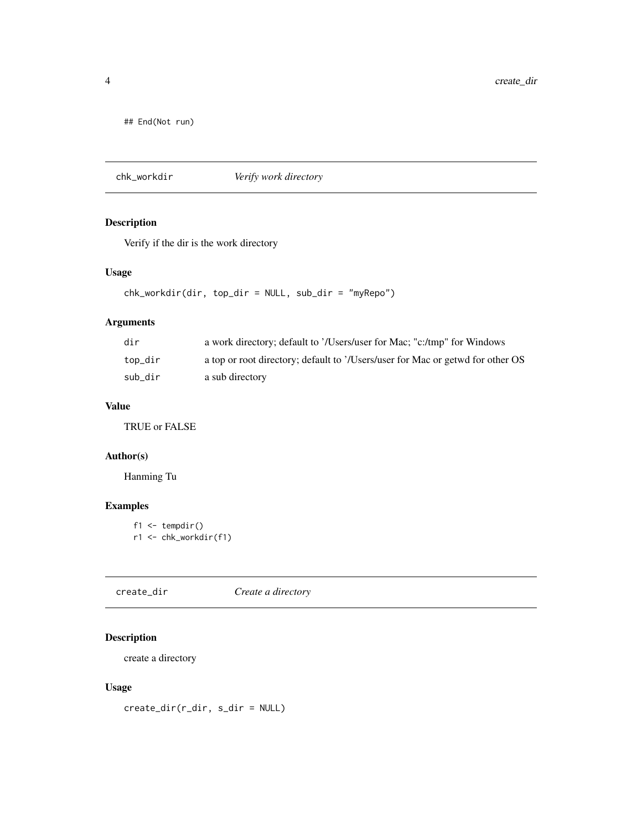<span id="page-3-0"></span>## End(Not run)

chk\_workdir *Verify work directory*

# Description

Verify if the dir is the work directory

# Usage

```
chk_workdir(dir, top_dir = NULL, sub_dir = "myRepo")
```
# Arguments

| dir     | a work directory; default to '/Users/user for Mac; "c:/tmp" for Windows        |
|---------|--------------------------------------------------------------------------------|
| top_dir | a top or root directory; default to '/Users/user for Mac or getwd for other OS |
| sub dir | a sub directory                                                                |

#### Value

TRUE or FALSE

#### Author(s)

Hanming Tu

# Examples

 $f1 \leftarrow tempdir()$ r1 <- chk\_workdir(f1)

create\_dir *Create a directory*

# Description

create a directory

#### Usage

create\_dir(r\_dir, s\_dir = NULL)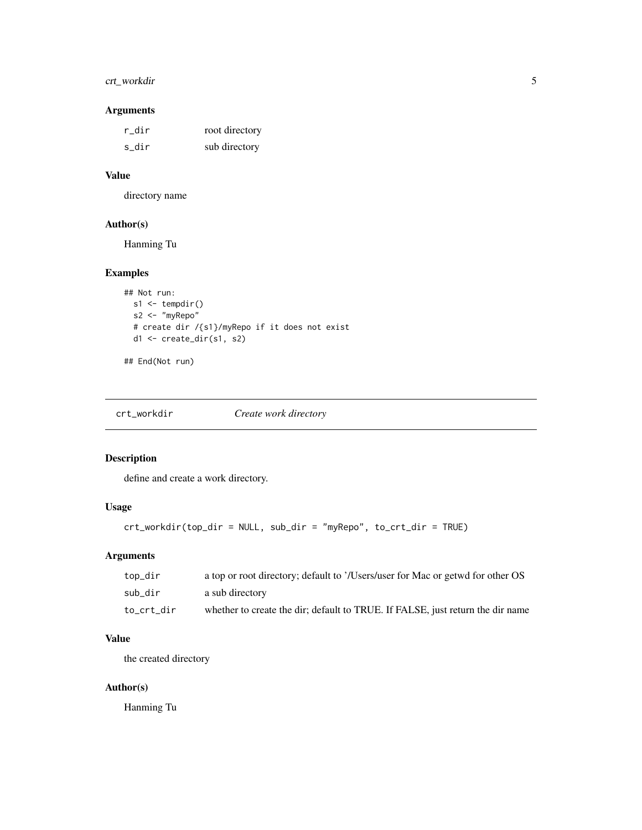# <span id="page-4-0"></span>crt\_workdir 5

# Arguments

| r dir | root directory |
|-------|----------------|
| s dir | sub directory  |

# Value

directory name

#### Author(s)

Hanming Tu

# Examples

```
## Not run:
  s1 <- tempdir()
 s2 <- "myRepo"
  # create dir /{s1}/myRepo if it does not exist
  d1 <- create_dir(s1, s2)
```
## End(Not run)

crt\_workdir *Create work directory*

# Description

define and create a work directory.

# Usage

```
crt_workdir(top_dir = NULL, sub_dir = "myRepo", to_crt_dir = TRUE)
```
# Arguments

| top_dir    | a top or root directory; default to '/Users/user for Mac or getwd for other OS |
|------------|--------------------------------------------------------------------------------|
| sub dir    | a sub directory                                                                |
| to crt dir | whether to create the dir; default to TRUE. If FALSE, just return the dir name |

#### Value

the created directory

# Author(s)

Hanming Tu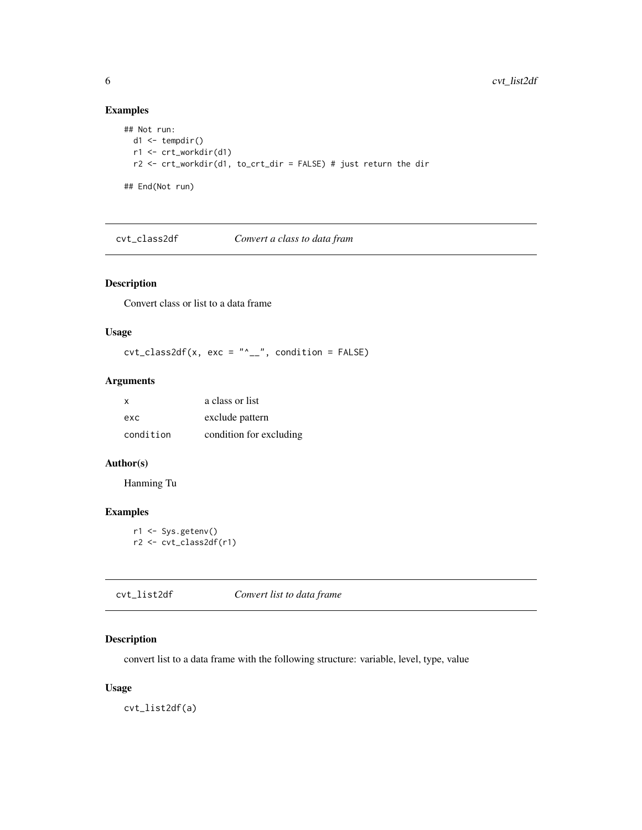# Examples

```
## Not run:
 d1 \leftarrow tempdir()r1 <- crt_workdir(d1)
  r2 <- crt_workdir(d1, to_crt_dir = FALSE) # just return the dir
## End(Not run)
```
cvt\_class2df *Convert a class to data fram*

# Description

Convert class or list to a data frame

#### Usage

 $\text{cvt}\_\text{class}2df(x, \text{ exc} = \text{"`}\_\text{--"\,}, \text{ condition} = \text{FALSE}$ 

#### Arguments

| X         | a class or list         |
|-----------|-------------------------|
| exc       | exclude pattern         |
| condition | condition for excluding |

# Author(s)

Hanming Tu

# Examples

r1 <- Sys.getenv() r2 <- cvt\_class2df(r1)

cvt\_list2df *Convert list to data frame*

# Description

convert list to a data frame with the following structure: variable, level, type, value

#### Usage

cvt\_list2df(a)

<span id="page-5-0"></span>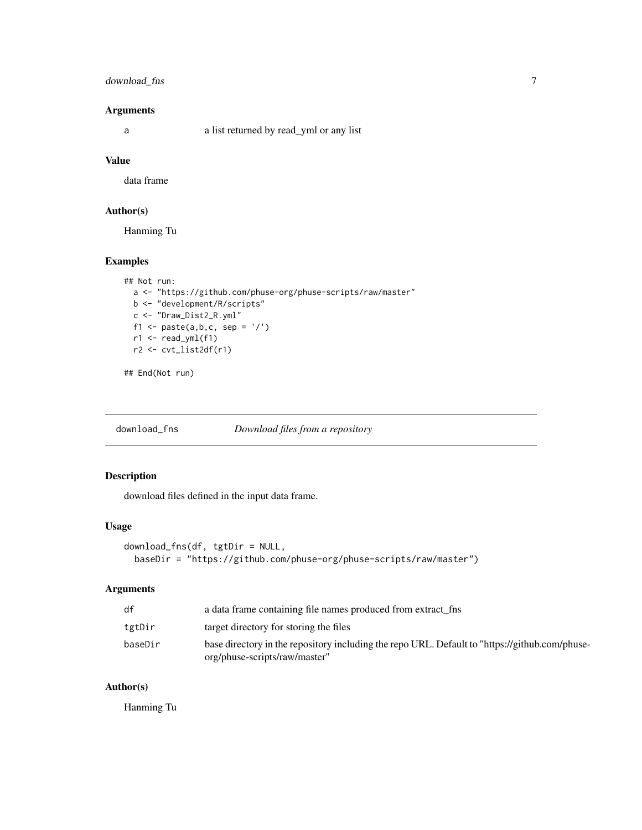# <span id="page-6-0"></span>download\_fns 7

#### Arguments

a a list returned by read\_yml or any list

#### Value

data frame

# Author(s)

Hanming Tu

#### Examples

```
## Not run:
  a <- "https://github.com/phuse-org/phuse-scripts/raw/master"
  b <- "development/R/scripts"
  c <- "Draw_Dist2_R.yml"
  f1 <- paste(a, b, c, sep = '/')
  r1 < - read_yml(f1)
  r2 <- cvt_list2df(r1)
```
## End(Not run)

download\_fns *Download files from a repository*

# Description

download files defined in the input data frame.

#### Usage

```
download_fns(df, tgtDir = NULL,
 baseDir = "https://github.com/phuse-org/phuse-scripts/raw/master")
```
# Arguments

| df      | a data frame containing file names produced from extract fine                                                                   |
|---------|---------------------------------------------------------------------------------------------------------------------------------|
| tgtDir  | target directory for storing the files                                                                                          |
| baseDir | base directory in the repository including the repo URL. Default to "https://github.com/phuse-<br>org/phuse-scripts/raw/master" |

#### Author(s)

Hanming Tu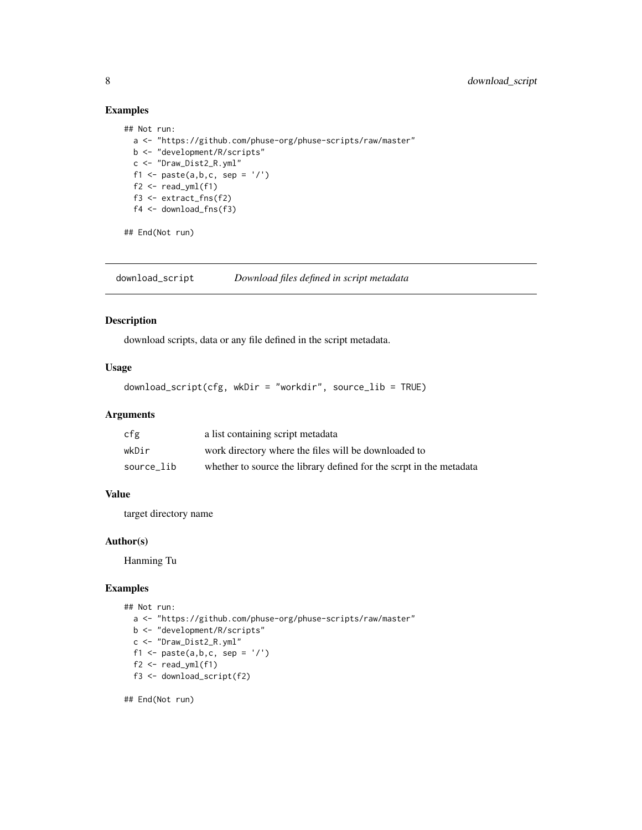# Examples

```
## Not run:
  a <- "https://github.com/phuse-org/phuse-scripts/raw/master"
  b <- "development/R/scripts"
  c <- "Draw_Dist2_R.yml"
  f1 <- paste(a, b, c, sep = '/')
  f2 \leftarrow \text{read\_yml}(f1)f3 <- extract_fns(f2)
  f4 <- download_fns(f3)
```
## End(Not run)

download\_script *Download files defined in script metadata*

#### Description

download scripts, data or any file defined in the script metadata.

# Usage

```
download_script(cfg, wkDir = "workdir", source_lib = TRUE)
```
# Arguments

| cfg        | a list containing script metadata                                   |
|------------|---------------------------------------------------------------------|
| wkDir      | work directory where the files will be downloaded to                |
| source lib | whether to source the library defined for the scrpt in the metadata |

#### Value

target directory name

# Author(s)

Hanming Tu

#### Examples

```
## Not run:
  a <- "https://github.com/phuse-org/phuse-scripts/raw/master"
  b <- "development/R/scripts"
  c <- "Draw_Dist2_R.yml"
  f1 <- paste(a,b,c, sep = '/')
  f2 \leftarrow \text{read\_yml}(f1)f3 <- download_script(f2)
```
## End(Not run)

<span id="page-7-0"></span>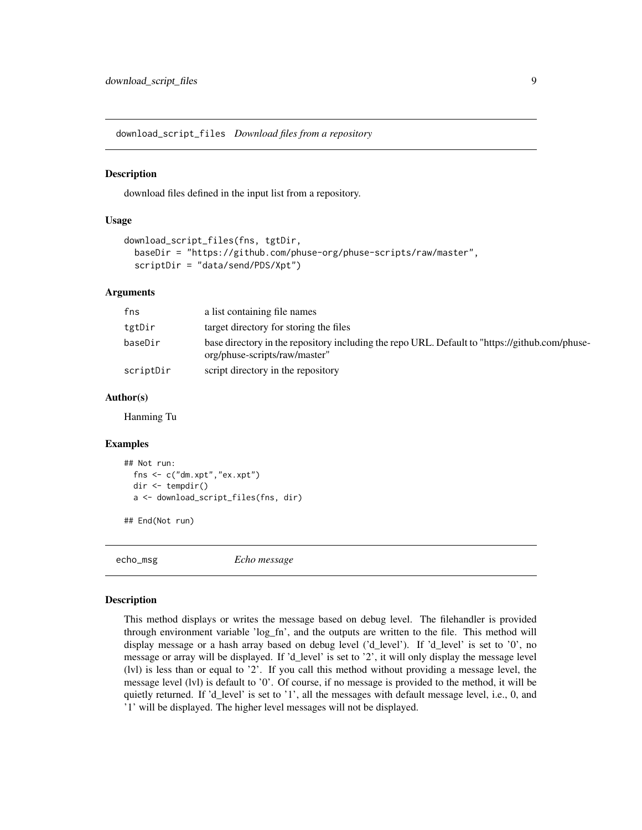<span id="page-8-0"></span>download\_script\_files *Download files from a repository*

#### Description

download files defined in the input list from a repository.

#### Usage

```
download_script_files(fns, tgtDir,
 baseDir = "https://github.com/phuse-org/phuse-scripts/raw/master",
  scriptDir = "data/send/PDS/Xpt")
```
#### Arguments

| fns       | a list containing file names                                                                                                    |
|-----------|---------------------------------------------------------------------------------------------------------------------------------|
| tgtDir    | target directory for storing the files                                                                                          |
| baseDir   | base directory in the repository including the repo URL. Default to "https://github.com/phuse-<br>org/phuse-scripts/raw/master" |
| scriptDir | script directory in the repository                                                                                              |

#### Author(s)

Hanming Tu

#### Examples

```
## Not run:
 fns <- c("dm.xpt","ex.xpt")
 dir <- tempdir()
 a <- download_script_files(fns, dir)
```
## End(Not run)

echo\_msg *Echo message*

#### Description

This method displays or writes the message based on debug level. The filehandler is provided through environment variable 'log\_fn', and the outputs are written to the file. This method will display message or a hash array based on debug level ('d\_level'). If 'd\_level' is set to '0', no message or array will be displayed. If 'd\_level' is set to '2', it will only display the message level (lvl) is less than or equal to '2'. If you call this method without providing a message level, the message level (lvl) is default to '0'. Of course, if no message is provided to the method, it will be quietly returned. If 'd\_level' is set to '1', all the messages with default message level, i.e., 0, and '1' will be displayed. The higher level messages will not be displayed.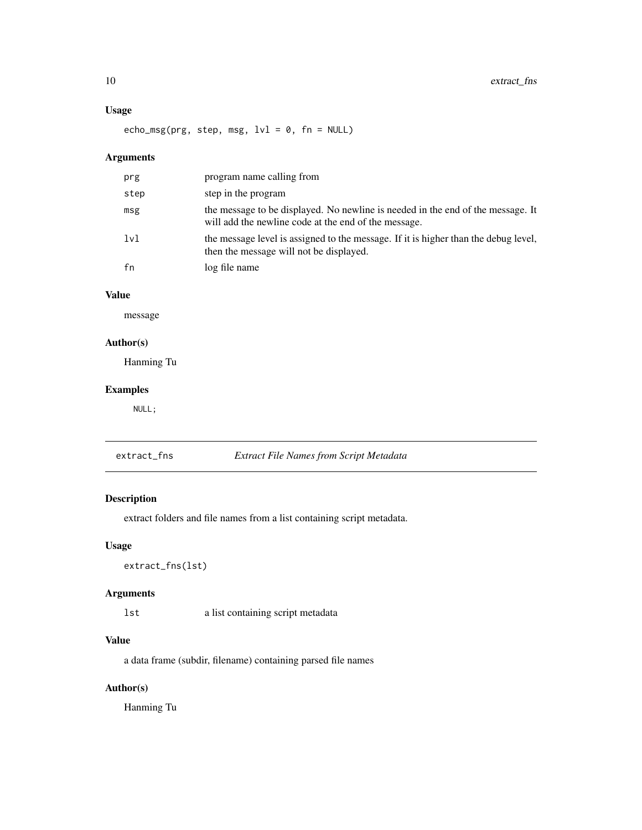# <span id="page-9-0"></span>Usage

echo\_msg(prg, step, msg,  $1vl = 0$ , fn = NULL)

# Arguments

| prg  | program name calling from                                                                                                               |
|------|-----------------------------------------------------------------------------------------------------------------------------------------|
| step | step in the program                                                                                                                     |
| msg  | the message to be displayed. No newline is needed in the end of the message. It<br>will add the newline code at the end of the message. |
| 1v1  | the message level is assigned to the message. If it is higher than the debug level,<br>then the message will not be displayed.          |
| fn   | log file name                                                                                                                           |

# Value

message

# Author(s)

Hanming Tu

# Examples

NULL;

| extract_fns | Extract File Names from Script Metadata |
|-------------|-----------------------------------------|
|-------------|-----------------------------------------|

# Description

extract folders and file names from a list containing script metadata.

# Usage

extract\_fns(lst)

# Arguments

lst a list containing script metadata

# Value

a data frame (subdir, filename) containing parsed file names

# Author(s)

Hanming Tu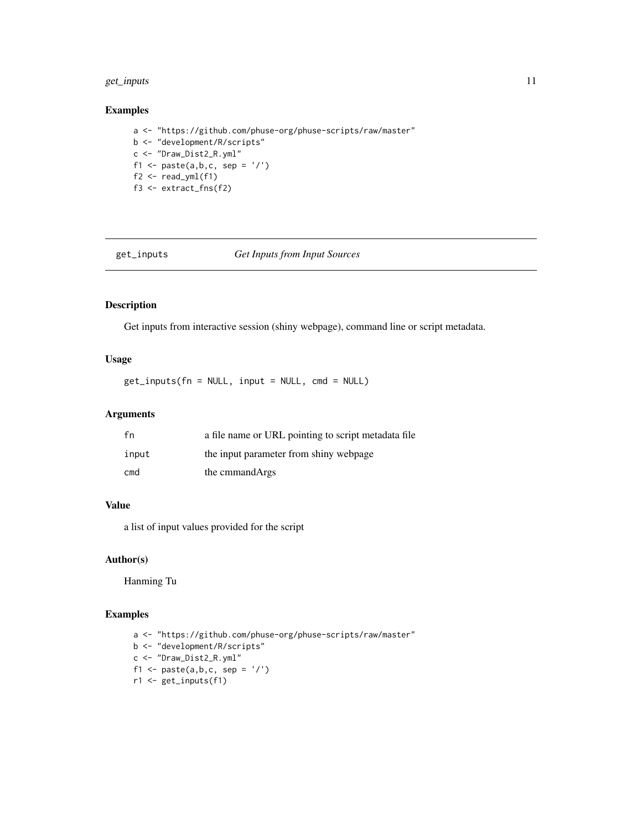# <span id="page-10-0"></span>get\_inputs 11

#### Examples

a <- "https://github.com/phuse-org/phuse-scripts/raw/master" b <- "development/R/scripts" c <- "Draw\_Dist2\_R.yml" f1 <- paste $(a,b,c, sep = '$ /')  $f2 \leftarrow \text{read\_yml}(f1)$ f3 <- extract\_fns(f2)

get\_inputs *Get Inputs from Input Sources*

# Description

Get inputs from interactive session (shiny webpage), command line or script metadata.

# Usage

get\_inputs(fn = NULL, input = NULL, cmd = NULL)

# Arguments

| fn    | a file name or URL pointing to script metadata file |
|-------|-----------------------------------------------------|
| input | the input parameter from shiny webpage              |
| cmd   | the cmmand Args                                     |

#### Value

a list of input values provided for the script

# Author(s)

Hanming Tu

```
a <- "https://github.com/phuse-org/phuse-scripts/raw/master"
b <- "development/R/scripts"
c <- "Draw_Dist2_R.yml"
f1 <- paste(a, b, c, sep = '/')
r1 <- get_inputs(f1)
```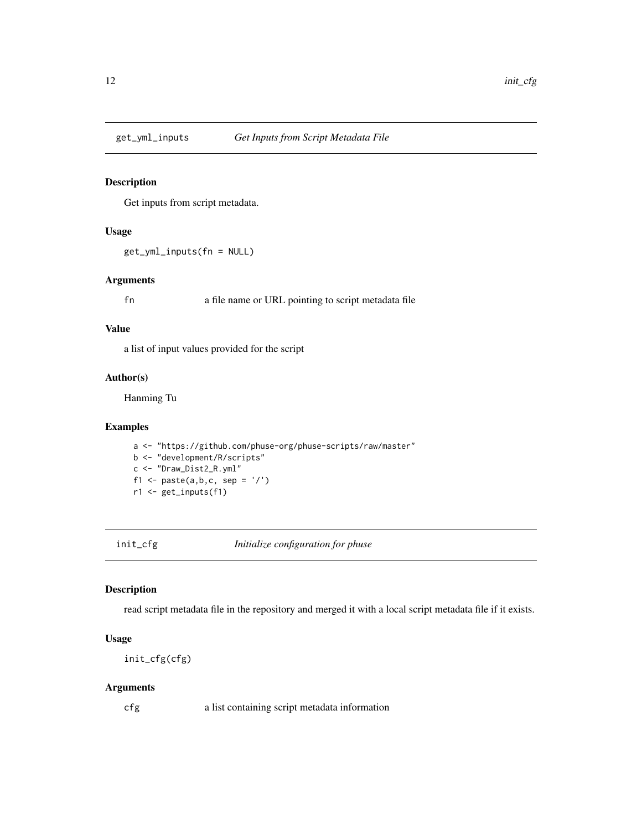<span id="page-11-0"></span>

Get inputs from script metadata.

# Usage

get\_yml\_inputs(fn = NULL)

#### Arguments

fn a file name or URL pointing to script metadata file

#### Value

a list of input values provided for the script

#### Author(s)

Hanming Tu

# Examples

a <- "https://github.com/phuse-org/phuse-scripts/raw/master" b <- "development/R/scripts" c <- "Draw\_Dist2\_R.yml" f1 <- paste $(a,b,c, sep = '$ /') r1 <- get\_inputs(f1)

init\_cfg *Initialize configuration for phuse*

#### Description

read script metadata file in the repository and merged it with a local script metadata file if it exists.

#### Usage

```
init_cfg(cfg)
```
#### Arguments

cfg a list containing script metadata information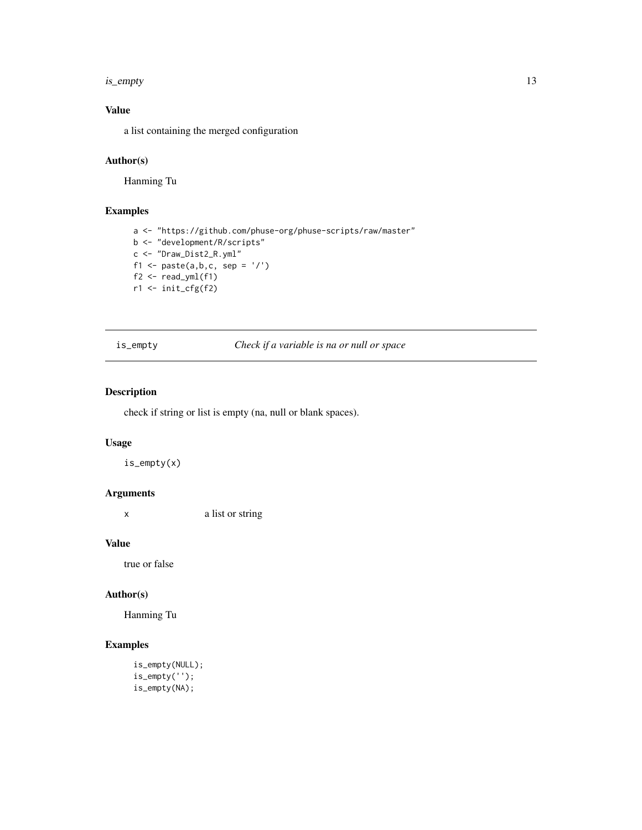#### <span id="page-12-0"></span>is\_empty 13

# Value

a list containing the merged configuration

# Author(s)

Hanming Tu

# Examples

```
a <- "https://github.com/phuse-org/phuse-scripts/raw/master"
b <- "development/R/scripts"
c <- "Draw_Dist2_R.yml"
f1 <- paste(a, b, c, sep = '/')
f2 \leftarrow \text{read\_yml}(f1)r1 <- init_cfg(f2)
```
is\_empty *Check if a variable is na or null or space*

# Description

check if string or list is empty (na, null or blank spaces).

#### Usage

is\_empty(x)

# Arguments

x a list or string

#### Value

true or false

#### Author(s)

Hanming Tu

```
is_empty(NULL);
is_empty('');
is_empty(NA);
```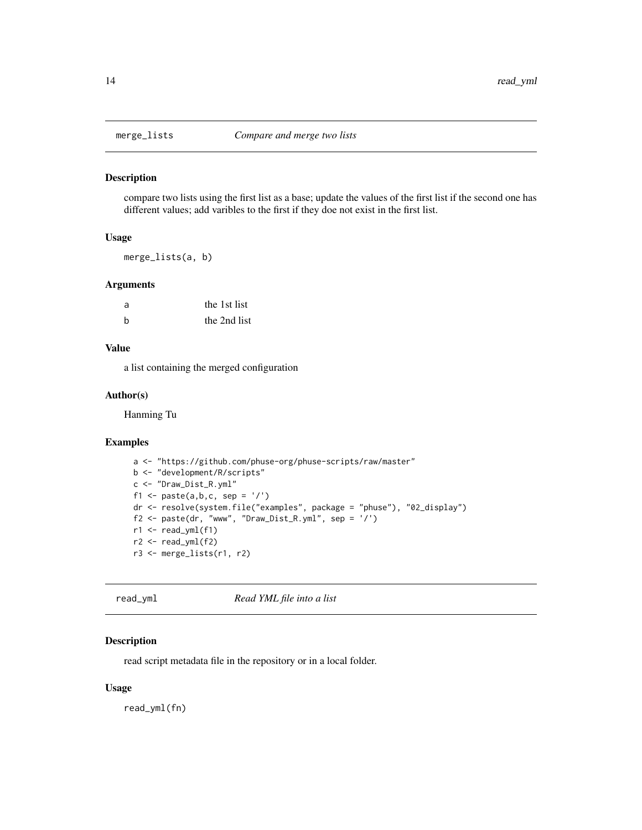<span id="page-13-0"></span>

compare two lists using the first list as a base; update the values of the first list if the second one has different values; add varibles to the first if they doe not exist in the first list.

#### Usage

merge\_lists(a, b)

#### Arguments

| a  | the 1st list |
|----|--------------|
| h, | the 2nd list |

#### Value

a list containing the merged configuration

#### Author(s)

Hanming Tu

#### Examples

```
a <- "https://github.com/phuse-org/phuse-scripts/raw/master"
b <- "development/R/scripts"
c <- "Draw_Dist_R.yml"
f1 <- paste(a, b, c, sep = '/')
dr <- resolve(system.file("examples", package = "phuse"), "02_display")
f2 <- \text{paste}(dr, "www", "Draw\_Dist_R.yml", sep = '}/')r1 < - read_yml(f1)
r2 < - read_yml(f2)
r3 <- merge_lists(r1, r2)
```
read\_yml *Read YML file into a list*

#### Description

read script metadata file in the repository or in a local folder.

#### Usage

read\_yml(fn)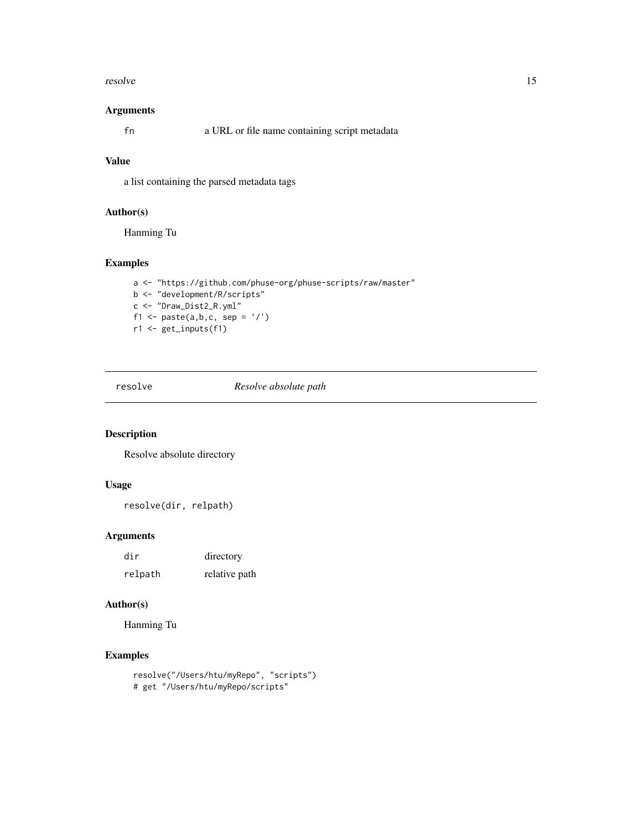#### <span id="page-14-0"></span>resolve the state of the state of the state of the state of the state of the state of the state of the state of the state of the state of the state of the state of the state of the state of the state of the state of the st

#### Arguments

fn a URL or file name containing script metadata

# Value

a list containing the parsed metadata tags

# Author(s)

Hanming Tu

# Examples

```
a <- "https://github.com/phuse-org/phuse-scripts/raw/master"
b <- "development/R/scripts"
c <- "Draw_Dist2_R.yml"
f1 <- paste(a, b, c, sep = '/')
r1 <- get_inputs(f1)
```
resolve *Resolve absolute path*

#### Description

Resolve absolute directory

# Usage

resolve(dir, relpath)

# Arguments

| dir     | directory     |
|---------|---------------|
| relpath | relative path |

#### Author(s)

Hanming Tu

```
resolve("/Users/htu/myRepo", "scripts")
# get "/Users/htu/myRepo/scripts"
```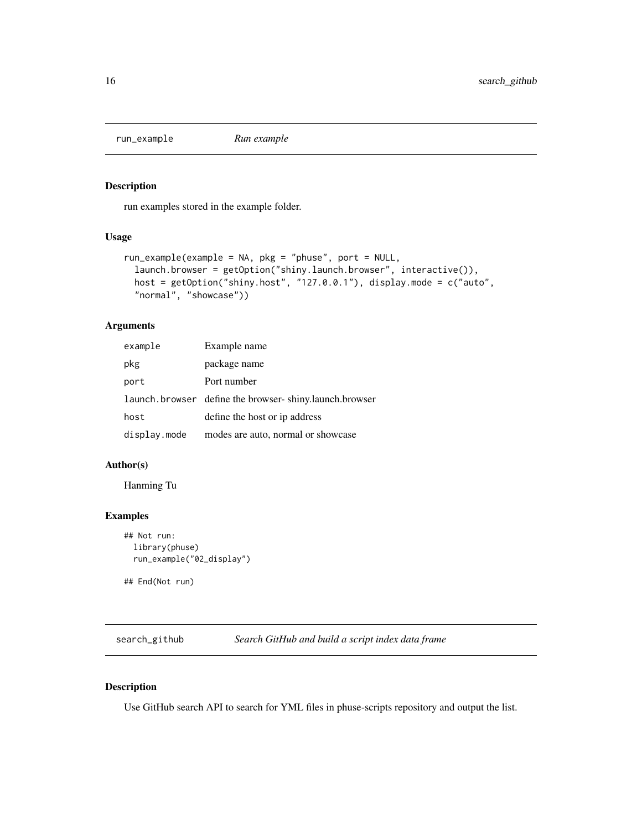<span id="page-15-0"></span>

run examples stored in the example folder.

#### Usage

```
run_example(example = NA, pkg = "phuse", port = NULL,
  launch.browser = getOption("shiny.launch.browser", interactive()),
 host = getOption("shiny.host", "127.0.0.1"), display.mode = c("auto",
  "normal", "showcase"))
```
#### Arguments

| example      | Example name                                           |
|--------------|--------------------------------------------------------|
| pkg          | package name                                           |
| port         | Port number                                            |
|              | launch.browser define the browser-shiny.launch.browser |
| host         | define the host or ip address                          |
| display.mode | modes are auto, normal or showcase                     |

#### Author(s)

Hanming Tu

# Examples

```
## Not run:
 library(phuse)
 run_example("02_display")
```
## End(Not run)

search\_github *Search GitHub and build a script index data frame*

#### Description

Use GitHub search API to search for YML files in phuse-scripts repository and output the list.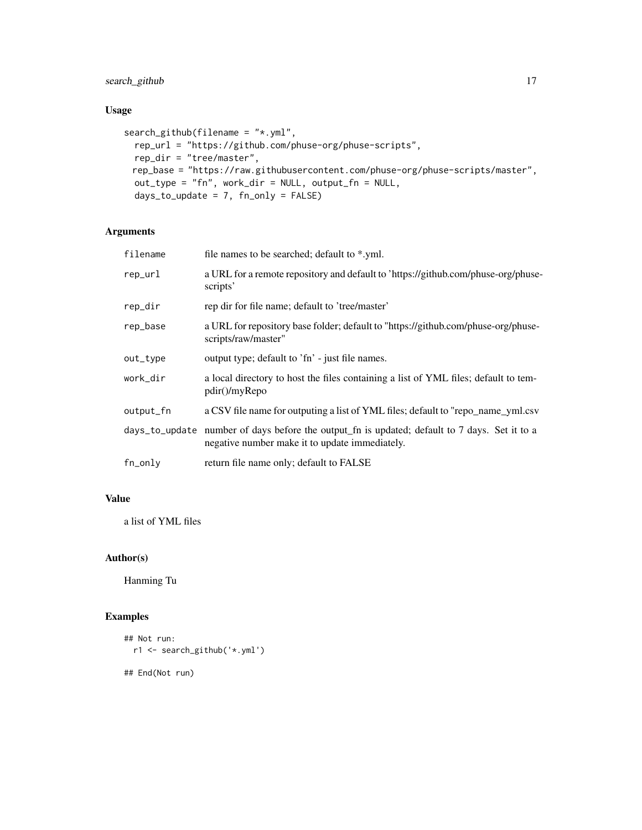search\_github 17

# Usage

```
search_github(filename = "*.yml",
 rep_url = "https://github.com/phuse-org/phuse-scripts",
 rep_dir = "tree/master",
 rep_base = "https://raw.githubusercontent.com/phuse-org/phuse-scripts/master",
 out_type = "fn", work_dir = NULL, output_fn = NULL,
 days_to_update = 7, fn\_only = FALSE)
```
# Arguments

| filename  | file names to be searched; default to *.yml.                                                                                                    |
|-----------|-------------------------------------------------------------------------------------------------------------------------------------------------|
| rep_url   | a URL for a remote repository and default to 'https://github.com/phuse-org/phuse-<br>scripts'                                                   |
| rep_dir   | rep dir for file name; default to 'tree/master'                                                                                                 |
| rep_base  | a URL for repository base folder; default to "https://github.com/phuse-org/phuse-<br>scripts/raw/master"                                        |
| out_type  | output type; default to 'fn' - just file names.                                                                                                 |
| work_dir  | a local directory to host the files containing a list of YML files; default to tem-<br>pdir()/myRepo                                            |
| output_fn | a CSV file name for outputing a list of YML files; default to "repo_name_yml.csv                                                                |
|           | days_to_update number of days before the output_fn is updated; default to 7 days. Set it to a<br>negative number make it to update immediately. |
| fn_only   | return file name only; default to FALSE                                                                                                         |

# Value

a list of YML files

#### Author(s)

Hanming Tu

```
## Not run:
  r1 <- search_github('*.yml')
## End(Not run)
```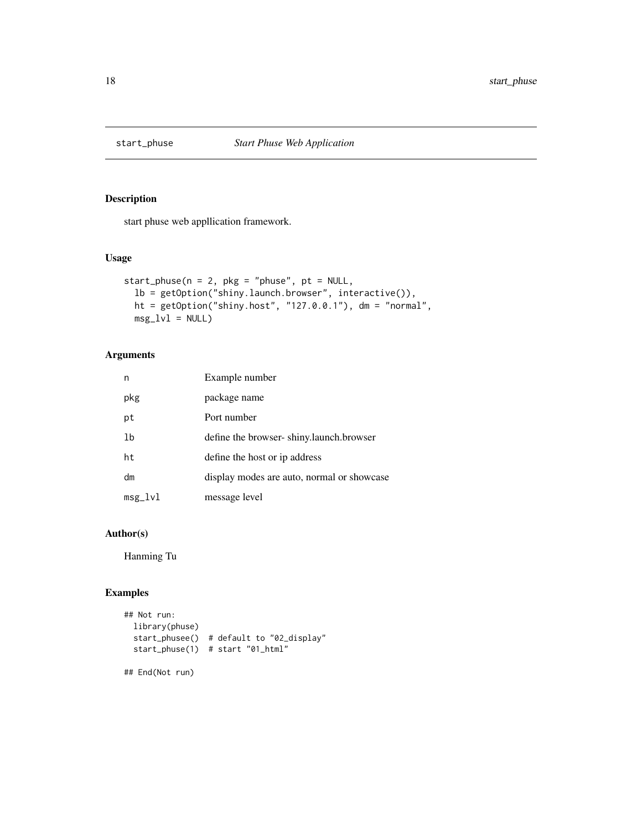<span id="page-17-0"></span>

start phuse web appllication framework.

# Usage

```
start_phuse(n = 2, pkg = "phase", pt = NULL,lb = getOption("shiny.launch.browser", interactive()),
 ht = getOption("shiny.host", "127.0.0.1"), dm = "normal",
 msg_lvl = NULL
```
# Arguments

| n         | Example number                             |
|-----------|--------------------------------------------|
| pkg       | package name                               |
| pt        | Port number                                |
| 1b        | define the browser-shiny.launch.browser    |
| ht        | define the host or ip address              |
| dm        | display modes are auto, normal or showcase |
| $msg_lvl$ | message level                              |

# Author(s)

Hanming Tu

# Examples

```
## Not run:
 library(phuse)
 start_phusee() # default to "02_display"
 start_phuse(1) # start "01_html"
```
## End(Not run)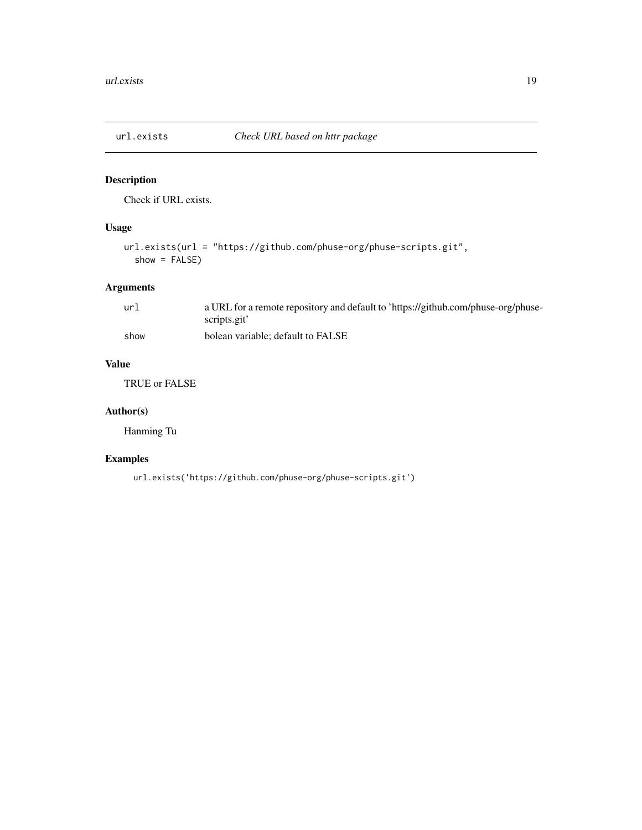<span id="page-18-0"></span>

Check if URL exists.

# Usage

```
url.exists(url = "https://github.com/phuse-org/phuse-scripts.git",
  show = FALSE)
```
# Arguments

| ur1  | a URL for a remote repository and default to 'https://github.com/phuse-org/phuse- |
|------|-----------------------------------------------------------------------------------|
|      | scripts.git'                                                                      |
| show | bolean variable: default to FALSE                                                 |

# Value

TRUE or FALSE

# Author(s)

Hanming Tu

# Examples

url.exists('https://github.com/phuse-org/phuse-scripts.git')